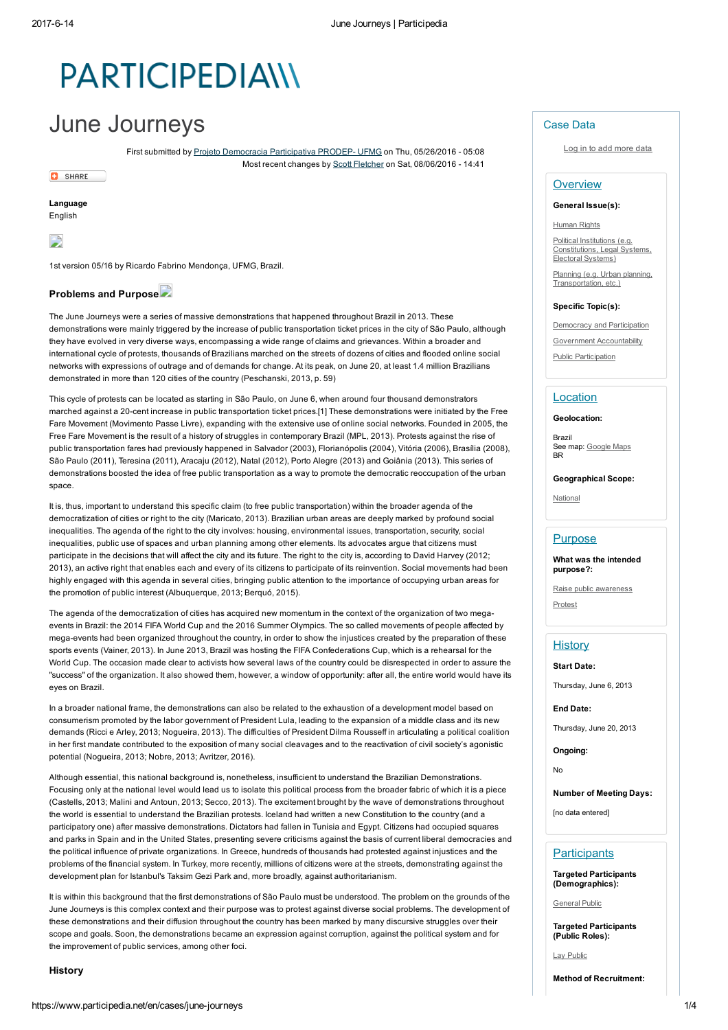# **PARTICIPEDIAIII**

## June Journeys

First submitted by Projeto Democracia Participativa PRODEP- UFMG on Thu, 05/26/2016 - 05:08 Most recent changes by Scott Fletcher on Sat, 08/06/2016 14:41

**C** SHARE Language

English



1st version 05/16 by Ricardo Fabrino Mendonça, UFMG, Brazil.

#### Problems and Purpose

The June Journeys were a series of massive demonstrations that happened throughout Brazil in 2013. These demonstrations were mainly triggered by the increase of public transportation ticket prices in the city of São Paulo, although they have evolved in very diverse ways, encompassing a wide range of claims and grievances. Within a broader and international cycle of protests, thousands of Brazilians marched on the streets of dozens of cities and flooded online social networks with expressions of outrage and of demands for change. At its peak, on June 20, at least 1.4 million Brazilians demonstrated in more than 120 cities of the country (Peschanski, 2013, p. 59)

This cycle of protests can be located as starting in São Paulo, on June 6, when around four thousand demonstrators marched against a 20-cent increase in public transportation ticket prices.[1] These demonstrations were initiated by the Free Fare Movement (Movimento Passe Livre), expanding with the extensive use of online social networks. Founded in 2005, the Free Fare Movement is the result of a history of struggles in contemporary Brazil (MPL, 2013). Protests against the rise of public transportation fares had previously happened in Salvador (2003), Florianópolis (2004), Vitória (2006), Brasília (2008), São Paulo (2011), Teresina (2011), Aracaju (2012), Natal (2012), Porto Alegre (2013) and Goiânia (2013). This series of demonstrations boosted the idea of free public transportation as a way to promote the democratic reoccupation of the urban space.

It is, thus, important to understand this specific claim (to free public transportation) within the broader agenda of the democratization of cities or right to the city (Maricato, 2013). Brazilian urban areas are deeply marked by profound social inequalities. The agenda of the right to the city involves: housing, environmental issues, transportation, security, social inequalities, public use of spaces and urban planning among other elements. Its advocates argue that citizens must participate in the decisions that will affect the city and its future. The right to the city is, according to David Harvey (2012; 2013), an active right that enables each and every of its citizens to participate of its reinvention. Social movements had been highly engaged with this agenda in several cities, bringing public attention to the importance of occupying urban areas for the promotion of public interest (Albuquerque, 2013; Berquó, 2015).

The agenda of the democratization of cities has acquired new momentum in the context of the organization of two megaevents in Brazil: the 2014 FIFA World Cup and the 2016 Summer Olympics. The so called movements of people affected by mega-events had been organized throughout the country, in order to show the injustices created by the preparation of these sports events (Vainer, 2013). In June 2013, Brazil was hosting the FIFA Confederations Cup, which is a rehearsal for the World Cup. The occasion made clear to activists how several laws of the country could be disrespected in order to assure the "success" of the organization. It also showed them, however, a window of opportunity: after all, the entire world would have its eyes on Brazil.

In a broader national frame, the demonstrations can also be related to the exhaustion of a development model based on consumerism promoted by the labor government of President Lula, leading to the expansion of a middle class and its new demands (Ricci e Arley, 2013; Nogueira, 2013). The difficulties of President Dilma Rousseff in articulating a political coalition in her first mandate contributed to the exposition of many social cleavages and to the reactivation of civil society's agonistic potential (Nogueira, 2013; Nobre, 2013; Avritzer, 2016).

Although essential, this national background is, nonetheless, insufficient to understand the Brazilian Demonstrations. Focusing only at the national level would lead us to isolate this political process from the broader fabric of which it is a piece (Castells, 2013; Malini and Antoun, 2013; Secco, 2013). The excitement brought by the wave of demonstrations throughout the world is essential to understand the Brazilian protests. Iceland had written a new Constitution to the country (and a participatory one) after massive demonstrations. Dictators had fallen in Tunisia and Egypt. Citizens had occupied squares and parks in Spain and in the United States, presenting severe criticisms against the basis of current liberal democracies and the political influence of private organizations. In Greece, hundreds of thousands had protested against injustices and the problems of the financial system. In Turkey, more recently, millions of citizens were at the streets, demonstrating against the development plan for Istanbul's Taksim Gezi Park and, more broadly, against authoritarianism.

It is within this background that the first demonstrations of São Paulo must be understood. The problem on the grounds of the June Journeys is this complex context and their purpose was to protest against diverse social problems. The development of these demonstrations and their diffusion throughout the country has been marked by many discursive struggles over their scope and goals. Soon, the demonstrations became an expression against corruption, against the political system and for the improvement of public services, among other foci.

#### History

Log in to add more data

#### **Overview**

#### General Issue(s):

#### Human Rights

Political Institutions (e.g. Constitutions, Legal Systems, Electoral Systems)

Planning (e.g. Urban planning, Transportation, etc.)

#### Specific Topic(s):

**Democracy and Participation** Government Accountability

Public Participation

#### Location

Geolocation:

Brazil See map: Google Maps BR

Geographical Scope:

National

#### **Purpose**

What was the intended purpose?: Raise public awareness

Protest

## **History**

Start Date:

Thursday, June 6, 2013

End Date:

Thursday, June 20, 2013

Ongoing:

No

Number of Meeting Days:

[no data entered]

## **Participants**

Targeted Participants (Demographics):

General Public

Targeted Participants (Public Roles):

Lay Public

Method of Recruitment: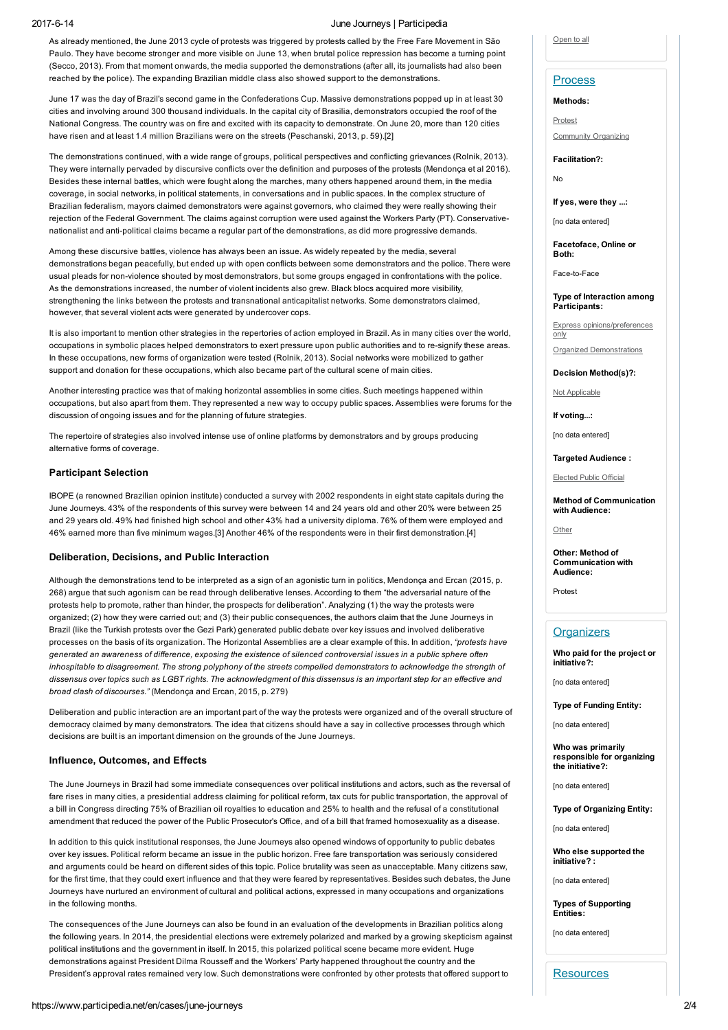#### 2017614 June Journeys | Participedia

As already mentioned, the June 2013 cycle of protests was triggered by protests called by the Free Fare Movement in São Paulo. They have become stronger and more visible on June 13, when brutal police repression has become a turning point (Secco, 2013). From that moment onwards, the media supported the demonstrations (after all, its journalists had also been reached by the police). The expanding Brazilian middle class also showed support to the demonstrations.

June 17 was the day of Brazil's second game in the Confederations Cup. Massive demonstrations popped up in at least 30 cities and involving around 300 thousand individuals. In the capital city of Brasilia, demonstrators occupied the roof of the National Congress. The country was on fire and excited with its capacity to demonstrate. On June 20, more than 120 cities have risen and at least 1.4 million Brazilians were on the streets (Peschanski, 2013, p. 59).[2]

The demonstrations continued, with a wide range of groups, political perspectives and conflicting grievances (Rolnik, 2013). They were internally pervaded by discursive conflicts over the definition and purposes of the protests (Mendonça et al 2016). Besides these internal battles, which were fought along the marches, many others happened around them, in the media coverage, in social networks, in political statements, in conversations and in public spaces. In the complex structure of Brazilian federalism, mayors claimed demonstrators were against governors, who claimed they were really showing their rejection of the Federal Government. The claims against corruption were used against the Workers Party (PT). Conservativenationalist and anti-political claims became a regular part of the demonstrations, as did more progressive demands.

Among these discursive battles, violence has always been an issue. As widely repeated by the media, several demonstrations began peacefully, but ended up with open conflicts between some demonstrators and the police. There were usual pleads for non-violence shouted by most demonstrators, but some groups engaged in confrontations with the police. As the demonstrations increased, the number of violent incidents also grew. Black blocs acquired more visibility, strengthening the links between the protests and transnational anticapitalist networks. Some demonstrators claimed, however, that several violent acts were generated by undercover cops.

It is also important to mention other strategies in the repertories of action employed in Brazil. As in many cities over the world, occupations in symbolic places helped demonstrators to exert pressure upon public authorities and to resignify these areas. In these occupations, new forms of organization were tested (Rolnik, 2013). Social networks were mobilized to gather support and donation for these occupations, which also became part of the cultural scene of main cities.

Another interesting practice was that of making horizontal assemblies in some cities. Such meetings happened within occupations, but also apart from them. They represented a new way to occupy public spaces. Assemblies were forums for the discussion of ongoing issues and for the planning of future strategies.

The repertoire of strategies also involved intense use of online platforms by demonstrators and by groups producing alternative forms of coverage.

#### Participant Selection

IBOPE (a renowned Brazilian opinion institute) conducted a survey with 2002 respondents in eight state capitals during the June Journeys. 43% of the respondents of this survey were between 14 and 24 years old and other 20% were between 25 and 29 years old. 49% had finished high school and other 43% had a university diploma. 76% of them were employed and 46% earned more than five minimum wages.[3] Another 46% of the respondents were in their first demonstration.[4]

#### Deliberation, Decisions, and Public Interaction

Although the demonstrations tend to be interpreted as a sign of an agonistic turn in politics, Mendonça and Ercan (2015, p. 268) argue that such agonism can be read through deliberative lenses. According to them "the adversarial nature of the protests help to promote, rather than hinder, the prospects for deliberation". Analyzing (1) the way the protests were organized; (2) how they were carried out; and (3) their public consequences, the authors claim that the June Journeys in Brazil (like the Turkish protests over the Gezi Park) generated public debate over key issues and involved deliberative processes on the basis of its organization. The Horizontal Assemblies are a clear example of this. In addition, "protests have generated an awareness of difference, exposing the existence of silenced controversial issues in a public sphere often inhospitable to disagreement. The strong polyphony of the streets compelled demonstrators to acknowledge the strength of dissensus over topics such as LGBT rights. The acknowledgment of this dissensus is an important step for an effective and broad clash of discourses." (Mendonça and Ercan, 2015, p. 279)

Deliberation and public interaction are an important part of the way the protests were organized and of the overall structure of democracy claimed by many demonstrators. The idea that citizens should have a say in collective processes through which decisions are built is an important dimension on the grounds of the June Journeys.

#### Influence, Outcomes, and Effects

The June Journeys in Brazil had some immediate consequences over political institutions and actors, such as the reversal of fare rises in many cities, a presidential address claiming for political reform, tax cuts for public transportation, the approval of a bill in Congress directing 75% of Brazilian oil royalties to education and 25% to health and the refusal of a constitutional amendment that reduced the power of the Public Prosecutor's Office, and of a bill that framed homosexuality as a disease.

In addition to this quick institutional responses, the June Journeys also opened windows of opportunity to public debates over key issues. Political reform became an issue in the public horizon. Free fare transportation was seriously considered and arguments could be heard on different sides of this topic. Police brutality was seen as unacceptable. Many citizens saw, for the first time, that they could exert influence and that they were feared by representatives. Besides such debates, the June Journeys have nurtured an environment of cultural and political actions, expressed in many occupations and organizations in the following months.

The consequences of the June Journeys can also be found in an evaluation of the developments in Brazilian politics along the following years. In 2014, the presidential elections were extremely polarized and marked by a growing skepticism against political institutions and the government in itself. In 2015, this polarized political scene became more evident. Huge demonstrations against President Dilma Rousseff and the Workers' Party happened throughout the country and the President's approval rates remained very low. Such demonstrations were confronted by other protests that offered support to

#### Open to all

### **Process**

Methods:

Protest

Community Organizing

Facilitation?:

No

If yes, were they ...:

[no data entered]

Facetoface, Online or Both:

Face-to-Face

Type of Interaction among Participants:

Express opinions/preferences only

Organized Demonstrations

Decision Method(s)?:

Not Applicable

If voting...:

[no data entered]

Targeted Audience :

Elected Public Official

Method of Communication with Audience:

Other

Other: Method of Communication with Audience:

Protest

#### **Organizers**

Who paid for the project or initiative?:

[no data entered]

Type of Funding Entity:

[no data entered]

Who was primarily responsible for organizing the initiative?:

[no data entered]

Type of Organizing Entity:

[no data entered]

Who else supported the initiative? :

[no data entered]

Types of Supporting Entities:

[no data entered]

**Resources**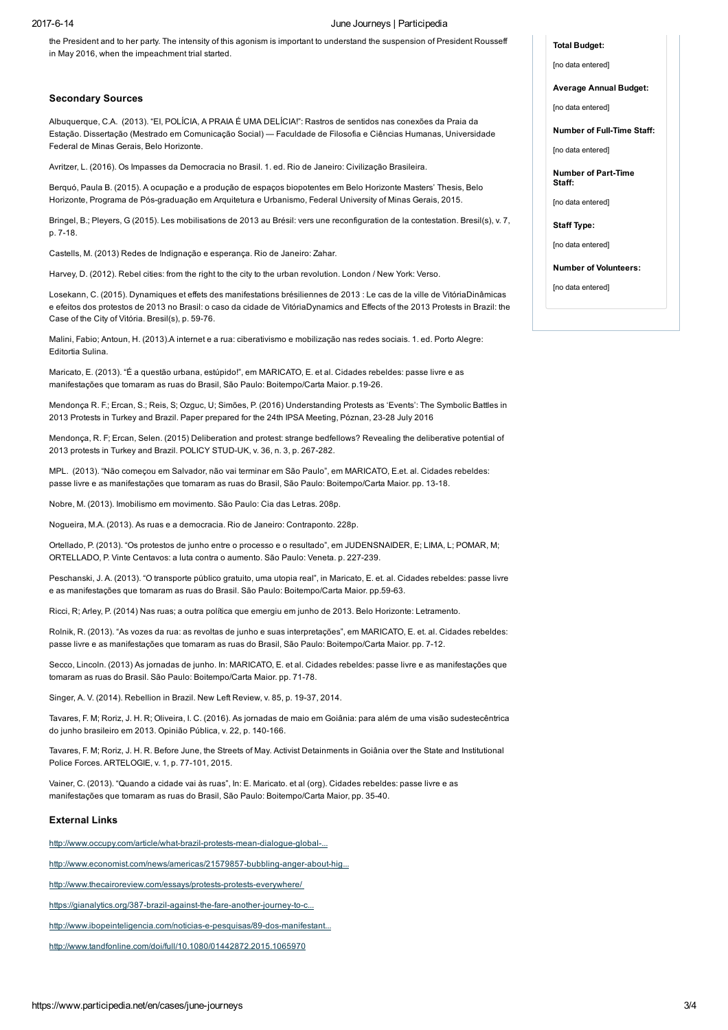#### 2017614 June Journeys | Participedia

the President and to her party. The intensity of this agonism is important to understand the suspension of President Rousseff in May 2016, when the impeachment trial started.

#### Secondary Sources

Albuquerque, C.A. (2013). "EI, POLÍCIA, A PRAIA É UMA DELÍCIA!": Rastros de sentidos nas conexões da Praia da Estação. Dissertação (Mestrado em Comunicação Social) — Faculdade de Filosofia e Ciências Humanas, Universidade Federal de Minas Gerais, Belo Horizonte.

Avritzer, L. (2016). Os Impasses da Democracia no Brasil. 1. ed. Rio de Janeiro: Civilização Brasileira.

Berquó, Paula B. (2015). A ocupação e a produção de espaços biopotentes em Belo Horizonte Masters' Thesis, Belo Horizonte, Programa de Pós-graduação em Arquitetura e Urbanismo, Federal University of Minas Gerais, 2015.

Bringel, B.; Pleyers, G (2015). Les mobilisations de 2013 au Brésil: vers une reconfiguration de la contestation. Bresil(s), v. 7, p. 7-18.

Castells, M. (2013) Redes de Indignação e esperança. Rio de Janeiro: Zahar.

Harvey, D. (2012). Rebel cities: from the right to the city to the urban revolution. London / New York: Verso.

Losekann, C. (2015). Dynamiques et effets des manifestations brésiliennes de 2013 : Le cas de la ville de VitóriaDinâmicas e efeitos dos protestos de 2013 no Brasil: o caso da cidade de VitóriaDynamics and Effects of the 2013 Protests in Brazil: the Case of the City of Vitória. Bresil(s), p. 59-76.

Malini, Fabio; Antoun, H. (2013).A internet e a rua: ciberativismo e mobilização nas redes sociais. 1. ed. Porto Alegre: Editortia Sulina.

Maricato, E. (2013). "É a questão urbana, estúpido!", em MARICATO, E. et al. Cidades rebeldes: passe livre e as manifestações que tomaram as ruas do Brasil, São Paulo: Boitempo/Carta Maior. p.1926.

Mendonça R. F.; Ercan, S.; Reis, S; Ozguc, U; Simões, P. (2016) Understanding Protests as 'Events': The Symbolic Battles in 2013 Protests in Turkey and Brazil. Paper prepared for the 24th IPSA Meeting, Póznan, 23-28 July 2016

Mendonça, R. F; Ercan, Selen. (2015) Deliberation and protest: strange bedfellows? Revealing the deliberative potential of 2013 protests in Turkey and Brazil. POLICY STUD-UK, v. 36, n. 3, p. 267-282.

MPL. (2013). "Não começou em Salvador, não vai terminar em São Paulo", em MARICATO, E.et. al. Cidades rebeldes: passe livre e as manifestações que tomaram as ruas do Brasil, São Paulo: Boitempo/Carta Maior. pp. 13-18.

Nobre, M. (2013). Imobilismo em movimento. São Paulo: Cia das Letras. 208p.

Nogueira, M.A. (2013). As ruas e a democracia. Rio de Janeiro: Contraponto. 228p.

Ortellado, P. (2013). "Os protestos de junho entre o processo e o resultado", em JUDENSNAIDER, E; LIMA, L; POMAR, M; ORTELLADO, P. Vinte Centavos: a luta contra o aumento. São Paulo: Veneta. p. 227-239.

Peschanski, J. A. (2013). "O transporte público gratuito, uma utopia real", in Maricato, E. et. al. Cidades rebeldes: passe livre e as manifestações que tomaram as ruas do Brasil. São Paulo: Boitempo/Carta Maior. pp.59-63.

Ricci, R; Arley, P. (2014) Nas ruas; a outra política que emergiu em junho de 2013. Belo Horizonte: Letramento.

Rolnik, R. (2013). "As vozes da rua: as revoltas de junho e suas interpretações", em MARICATO, E. et. al. Cidades rebeldes: passe livre e as manifestações que tomaram as ruas do Brasil, São Paulo: Boitempo/Carta Maior. pp. 712.

Secco, Lincoln. (2013) As jornadas de junho. In: MARICATO, E. et al. Cidades rebeldes: passe livre e as manifestações que tomaram as ruas do Brasil. São Paulo: Boitempo/Carta Maior. pp. 71-78.

Singer, A. V. (2014). Rebellion in Brazil. New Left Review, v. 85, p. 1937, 2014.

Tavares, F. M; Roriz, J. H. R; Oliveira, I. C. (2016). As jornadas de maio em Goiânia: para além de uma visão sudestecêntrica do junho brasileiro em 2013. Opinião Pública, v. 22, p. 140166.

Tavares, F. M; Roriz, J. H. R. Before June, the Streets of May. Activist Detainments in Goiânia over the State and Institutional Police Forces. ARTELOGIE, v. 1, p. 77-101, 2015.

Vainer, C. (2013). "Quando a cidade vai às ruas", In: E. Maricato. et al (org). Cidades rebeldes: passe livre e as manifestações que tomaram as ruas do Brasil, São Paulo: Boitempo/Carta Maior, pp. 3540.

#### External Links

http://www.occupy.com/article/what-brazil-protests-mean-dialogue-global-.

http://www.economist.com/news/americas/21579857-bubbling-anger-about-hig...

http://www.thecairoreview.com/essays/protests-protests-everywhere/

https://gianalytics.org/387-brazil-against-the-fare-another-journey-to-c..

http://www.ibopeinteligencia.com/noticias-e-pesquisas/89-dos-manifestant...

http://www.tandfonline.com/doi/full/10.1080/01442872.2015.1065970

#### Total Budget:

[no data entered]

Average Annual Budget:

[no data entered]

Number of Full-Time Staff:

[no data entered]

Number of Part-Time Staff:

[no data entered]

Staff Type:

[no data entered]

Number of Volunteers:

[no data entered]